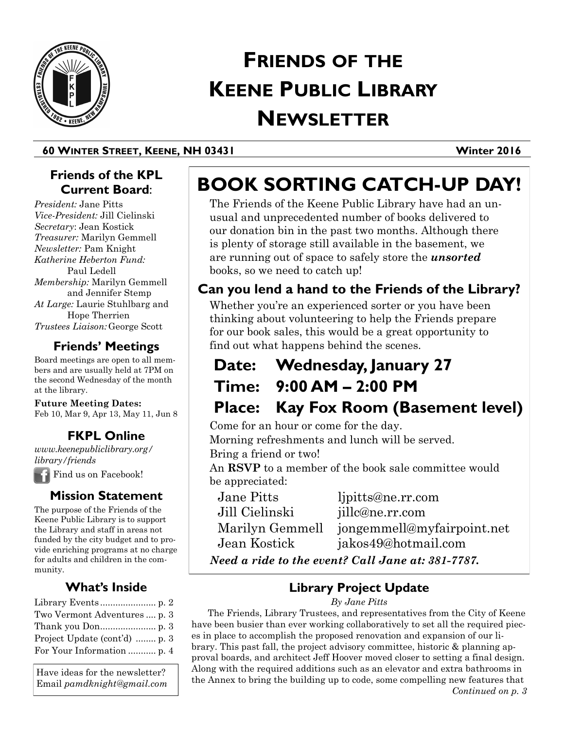

# **FRIENDS OF THE KEENE PUBLIC LIBRARY NEWSLETTER**

## **60 WINTER STREET, KEENE, NH 03431 Winter 2016**

# **Friends of the KPL Current Board**:

*President:* Jane Pitts *Vice-President:* Jill Cielinski *Secretary*: Jean Kostick *Treasurer:* Marilyn Gemmell *Newsletter:* Pam Knight *Katherine Heberton Fund:*  Paul Ledell *Membership:* Marilyn Gemmell and Jennifer Stemp *At Large:* Laurie Stuhlbarg and Hope Therrien *Trustees Liaison:* George Scott

# **Friends' Meetings**

Board meetings are open to all members and are usually held at 7PM on the second Wednesday of the month at the library.

#### **Future Meeting Dates:**  Feb 10, Mar 9, Apr 13, May 11, Jun 8

**FKPL Online**

*www.keenepubliclibrary.org/ library/friends*

Find us on Facebook!

# **Mission Statement**

The purpose of the Friends of the Keene Public Library is to support the Library and staff in areas not funded by the city budget and to provide enriching programs at no charge for adults and children in the community.

# **What's Inside**

| Two Vermont Adventures  p. 3  |
|-------------------------------|
|                               |
| Project Update (cont'd)  p. 3 |
| For Your Information  p. 4    |

Have ideas for the newsletter? Email *pamdknight@gmail.com*

# **BOOK SORTING CATCH-UP DAY!**

The Friends of the Keene Public Library have had an unusual and unprecedented number of books delivered to our donation bin in the past two months. Although there is plenty of storage still available in the basement, we are running out of space to safely store the *unsorted* books, so we need to catch up!

# **Can you lend a hand to the Friends of the Library?**

Whether you're an experienced sorter or you have been thinking about volunteering to help the Friends prepare for our book sales, this would be a great opportunity to find out what happens behind the scenes.

# **Date: Wednesday, January 27**

**Time: 9:00 AM – 2:00 PM** 

**Place: Kay Fox Room (Basement level)** 

Come for an hour or come for the day.

Morning refreshments and lunch will be served. Bring a friend or two!

An **RSVP** to a member of the book sale committee would be appreciated:

Jane Pitts ljpitts@ne.rr.com Jill Cielinski jillc@ne.rr.com Marilyn Gemmell jongemmell@myfairpoint.net Jean Kostick jakos49@hotmail.com *Need a ride to the event? Call Jane at: 381-7787.*

**Library Project Update**

#### *By Jane Pitts*

The Friends, Library Trustees, and representatives from the City of Keene have been busier than ever working collaboratively to set all the required pieces in place to accomplish the proposed renovation and expansion of our library. This past fall, the project advisory committee, historic & planning approval boards, and architect Jeff Hoover moved closer to setting a final design. Along with the required additions such as an elevator and extra bathrooms in the Annex to bring the building up to code, some compelling new features that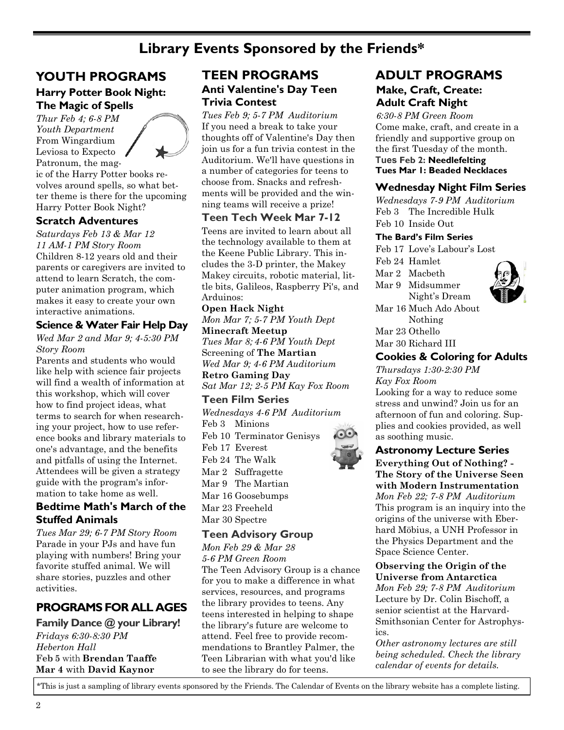# **Library Events Sponsored by the Friends\***

## **YOUTH PROGRAMS**

#### **[Harry Potter Book Night:](http://keenepubliclibrary.evanced.info/signup/EventDetails.aspx?EventId=10297&lib=)  [The Magic of Spells](http://keenepubliclibrary.evanced.info/signup/EventDetails.aspx?EventId=10297&lib=)**

*Thur Feb 4; 6-8 PM Youth Department*  From Wingardium Leviosa to Expecto Patronum, the magic of the Harry Potter books revolves around spells, so what better theme is there for the upcoming Harry Potter Book Night?

#### **Scratch Adventures**

*Saturdays Feb 13 & Mar 12 11 AM-1 PM Story Room* Children 8-12 years old and their parents or caregivers are invited to attend to learn Scratch, the computer animation program, which makes it easy to create your own interactive animations.

#### **Science & Water Fair Help Day**

*Wed Mar 2 and Mar 9; 4-5:30 PM Story Room*

Parents and students who would like help with science fair projects will find a wealth of information at this workshop, which will cover how to find project ideas, what terms to search for when researching your project, how to use reference books and library materials to one's advantage, and the benefits and pitfalls of using the Internet. Attendees will be given a strategy guide with the program's information to take home as well.

### **[Bedtime Math's March of the](http://keenepubliclibrary.evanced.info/signup/EventDetails.aspx?EventId=10886&lib=)  [Stuffed Animals](http://keenepubliclibrary.evanced.info/signup/EventDetails.aspx?EventId=10886&lib=)**

*Tues Mar 29; 6-7 PM Story Room* Parade in your PJs and have fun playing with numbers! Bring your favorite stuffed animal. We will share stories, puzzles and other activities.

# **PROGRAMS FOR ALL AGES**

**[Family Dance @ your Library!](http://keenepubliclibrary.evanced.info/signup/EventDetails.aspx?EventId=5658&lib=)**  *Fridays 6:30-8:30 PM Heberton Hall*  **Feb 5** with **Brendan Taaffe Mar 4** with **David Kaynor** 

# **TEEN PROGRAMS Anti Valentine's Day Teen Trivia Contest**

*Tues Feb 9; 5-7 PM Auditorium* If you need a break to take your thoughts off of Valentine's Day then join us for a fun trivia contest in the Auditorium. We'll have questions in a number of categories for teens to choose from. Snacks and refreshments will be provided and the winning teams will receive a prize!

### **Teen Tech Week Mar 7-12**

Teens are invited to learn about all the technology available to them at the Keene Public Library. This includes the 3-D printer, the Makey Makey circuits, robotic material, little bits, Galileos, Raspberry Pi's, and Arduinos:

**Open Hack Night**  *Mon Mar 7; 5-7 PM Youth Dept* **Minecraft Meetup**  *Tues Mar 8; 4-6 PM Youth Dept* Screening of **The Martian** *Wed Mar 9; 4-6 PM Auditorium* **Retro Gaming Day** 

*Sat Mar 12; 2-5 PM Kay Fox Room*

# **Teen Film Series**

*Wednesdays 4-6 PM Auditorium* Feb 3 Minions Feb 10 Terminator Genisys

Feb 17 Everest Feb 24 The Walk Mar 2 Suffragette Mar 9 The Martian Mar 16 Goosebumps

Mar 23 Freeheld

Mar 30 Spectre

#### **Teen Advisory Group**

*Mon Feb 29 & Mar 28 5-6 PM Green Room* The Teen Advisory Group is a chance

for you to make a difference in what services, resources, and programs the library provides to teens. Any teens interested in helping to shape the library's future are welcome to attend. Feel free to provide recommendations to Brantley Palmer, the Teen Librarian with what you'd like to see the library do for teens.

# **Make, Craft, Create: Adult Craft Night ADULT PROGRAMS**

*6:30-8 PM Green Room* Come make, craft, and create in a friendly and supportive group on the first Tuesday of the month. **Tues Feb 2: Needlefelting Tues Mar 1: Beaded Necklaces**

#### **Wednesday Night Film Series**

*Wednesdays 7-9 PM Auditorium* Feb 3 The Incredible Hulk Feb 10 Inside Out

#### **The Bard's Film Series**

Feb 17 Love's Labour's Lost

Feb 24 Hamlet Mar 2 Macbeth

Mar 9 Midsummer



Night's Dream Mar 16 Much Ado About Nothing Mar 23 Othello Mar 30 Richard III

#### **[Cookies & Coloring for Adults](http://keenepubliclibrary.evanced.info/signup/EventDetails.aspx?EventId=9799&lib=)**

*Thursdays 1:30-2:30 PM Kay Fox Room*  Looking for a way to reduce some stress and unwind? Join us for an afternoon of fun and coloring. Supplies and cookies provided, as well as soothing music.

#### **Astronomy Lecture Series**

**Everything Out of Nothing? - The Story of the Universe Seen with Modern Instrumentation** *Mon Feb 22; 7-8 PM Auditorium* This program is an inquiry into the origins of the universe with Eberhard Möbius, a UNH Professor in the Physics Department and the Space Science Center.

#### **Observing the Origin of the Universe from Antarctica**

*Mon Feb 29; 7-8 PM Auditorium* Lecture by Dr. Colin Bischoff, a senior scientist at the [Harvard-](http://www.cfa.harvard.edu/)[Smithsonian Center for Astrophys](http://www.cfa.harvard.edu/)[ics.](http://www.cfa.harvard.edu/) 

*Other astronomy lectures are still being scheduled. Check the library calendar of events for details.*

\*This is just a sampling of library events sponsored by the Friends. The Calendar of Events on the library website has a complete listing.



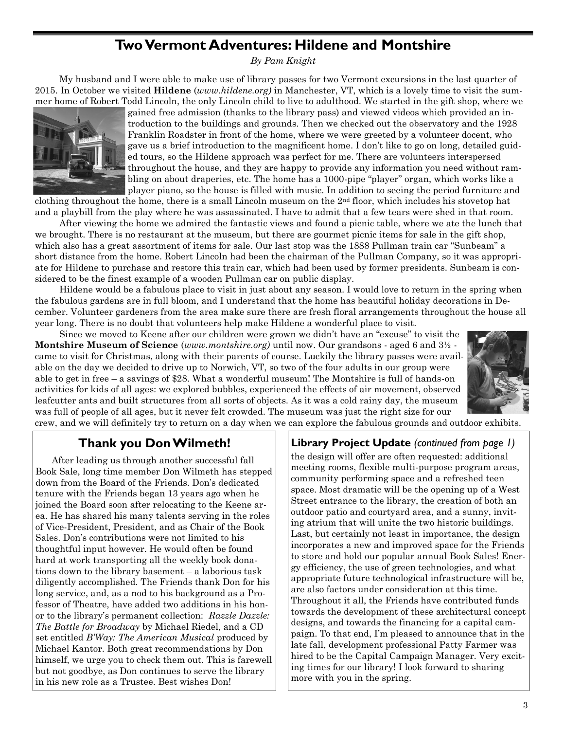# **Two Vermont Adventures: Hildene and Montshire**

*By Pam Knight*

My husband and I were able to make use of library passes for two Vermont excursions in the last quarter of 2015. In October we visited **Hildene** (*www.hildene.org)* in Manchester, VT, which is a lovely time to visit the summer home of Robert Todd Lincoln, the only Lincoln child to live to adulthood. We started in the gift shop, where we



gained free admission (thanks to the library pass) and viewed videos which provided an introduction to the buildings and grounds. Then we checked out the observatory and the 1928 Franklin Roadster in front of the home, where we were greeted by a volunteer docent, who gave us a brief introduction to the magnificent home. I don't like to go on long, detailed guided tours, so the Hildene approach was perfect for me. There are volunteers interspersed throughout the house, and they are happy to provide any information you need without rambling on about draperies, etc. The home has a 1000-pipe "player" organ, which works like a player piano, so the house is filled with music. In addition to seeing the period furniture and

clothing throughout the home, there is a small Lincoln museum on the 2nd floor, which includes his stovetop hat and a playbill from the play where he was assassinated. I have to admit that a few tears were shed in that room.

After viewing the home we admired the fantastic views and found a picnic table, where we ate the lunch that we brought. There is no restaurant at the museum, but there are gourmet picnic items for sale in the gift shop, which also has a great assortment of items for sale. Our last stop was the 1888 Pullman train car "Sunbeam" a short distance from the home. Robert Lincoln had been the chairman of the Pullman Company, so it was appropriate for Hildene to purchase and restore this train car, which had been used by former presidents. Sunbeam is considered to be the finest example of a wooden Pullman car on public display.

Hildene would be a fabulous place to visit in just about any season. I would love to return in the spring when the fabulous gardens are in full bloom, and I understand that the home has beautiful holiday decorations in December. Volunteer gardeners from the area make sure there are fresh floral arrangements throughout the house all year long. There is no doubt that volunteers help make Hildene a wonderful place to visit.

Since we moved to Keene after our children were grown we didn't have an "excuse" to visit the **Montshire Museum of Science** (*www.montshire.org)* until now. Our grandsons - aged 6 and 3½ came to visit for Christmas, along with their parents of course. Luckily the library passes were available on the day we decided to drive up to Norwich, VT, so two of the four adults in our group were able to get in free – a savings of \$28. What a wonderful museum! The Montshire is full of hands-on activities for kids of all ages: we explored bubbles, experienced the effects of air movement, observed leafcutter ants and built structures from all sorts of objects. As it was a cold rainy day, the museum was full of people of all ages, but it never felt crowded. The museum was just the right size for our



crew, and we will definitely try to return on a day when we can explore the fabulous grounds and outdoor exhibits.

# **Thank you Don Wilmeth!**

After leading us through another successful fall Book Sale, long time member Don Wilmeth has stepped down from the Board of the Friends. Don's dedicated tenure with the Friends began 13 years ago when he joined the Board soon after relocating to the Keene area. He has shared his many talents serving in the roles of Vice-President, President, and as Chair of the Book Sales. Don's contributions were not limited to his thoughtful input however. He would often be found hard at work transporting all the weekly book donations down to the library basement – a laborious task diligently accomplished. The Friends thank Don for his long service, and, as a nod to his background as a Professor of Theatre, have added two additions in his honor to the library's permanent collection: *Razzle Dazzle: The Battle for Broadway* by Michael Riedel, and a CD set entitled *B'Way: The American Musical* produced by Michael Kantor. Both great recommendations by Don himself, we urge you to check them out. This is farewell but not goodbye, as Don continues to serve the library in his new role as a Trustee. Best wishes Don!

## **Library Project Update** *(continued from page 1)*

the design will offer are often requested: additional meeting rooms, flexible multi-purpose program areas, community performing space and a refreshed teen space. Most dramatic will be the opening up of a West Street entrance to the library, the creation of both an outdoor patio and courtyard area, and a sunny, inviting atrium that will unite the two historic buildings. Last, but certainly not least in importance, the design incorporates a new and improved space for the Friends to store and hold our popular annual Book Sales! Energy efficiency, the use of green technologies, and what appropriate future technological infrastructure will be, are also factors under consideration at this time. Throughout it all, the Friends have contributed funds towards the development of these architectural concept designs, and towards the financing for a capital campaign. To that end, I'm pleased to announce that in the late fall, development professional Patty Farmer was hired to be the Capital Campaign Manager. Very exciting times for our library! I look forward to sharing more with you in the spring.